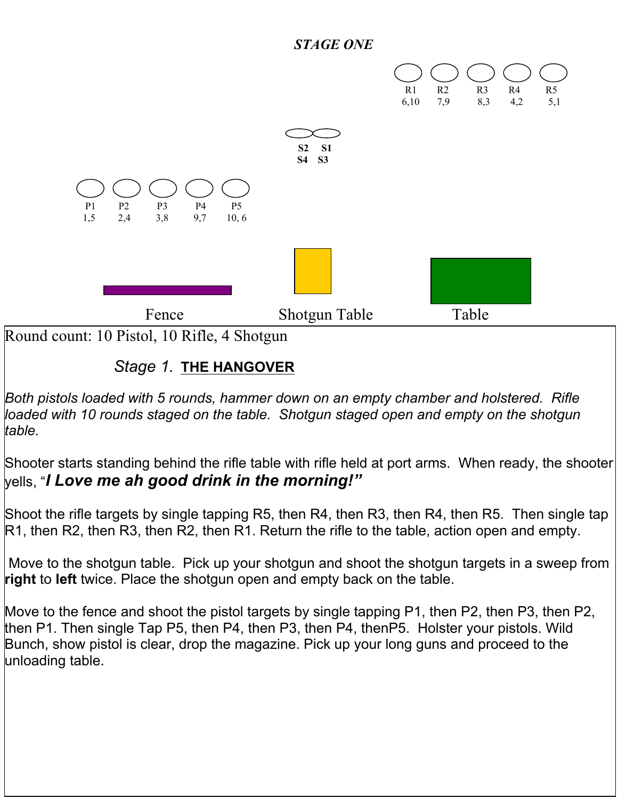#### *STAGE ONE*



# Round count: 10 Pistol, 10 Rifle, 4 Shotgun

## *Stage 1.* **THE HANGOVER**

*Both pistols loaded with 5 rounds, hammer down on an empty chamber and holstered. Rifle loaded with 10 rounds staged on the table. Shotgun staged open and empty on the shotgun table.* 

Shooter starts standing behind the rifle table with rifle held at port arms. When ready, the shooter yells, "*I Love me ah good drink in the morning!"*

Shoot the rifle targets by single tapping R5, then R4, then R3, then R4, then R5. Then single tap R1, then R2, then R3, then R2, then R1. Return the rifle to the table, action open and empty.

Move to the shotgun table. Pick up your shotgun and shoot the shotgun targets in a sweep from **right** to **left** twice. Place the shotgun open and empty back on the table.

Move to the fence and shoot the pistol targets by single tapping P1, then P2, then P3, then P2, then P1. Then single Tap P5, then P4, then P3, then P4, thenP5. Holster your pistols. Wild Bunch, show pistol is clear, drop the magazine. Pick up your long guns and proceed to the unloading table.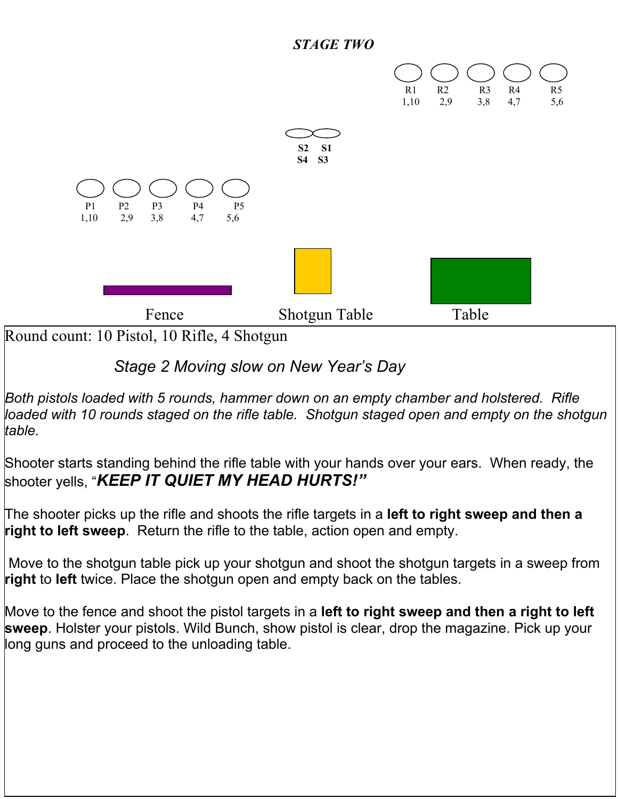



The shooter picks up the rifle and shoots the rifle targets in a **left to right sweep and then a right to left sweep**. Return the rifle to the table, action open and empty.

Move to the shotgun table pick up your shotgun and shoot the shotgun targets in a sweep from **right** to **left** twice. Place the shotgun open and empty back on the tables.

Move to the fence and shoot the pistol targets in a **left to right sweep and then a right to left sweep**. Holster your pistols. Wild Bunch, show pistol is clear, drop the magazine. Pick up your long guns and proceed to the unloading table.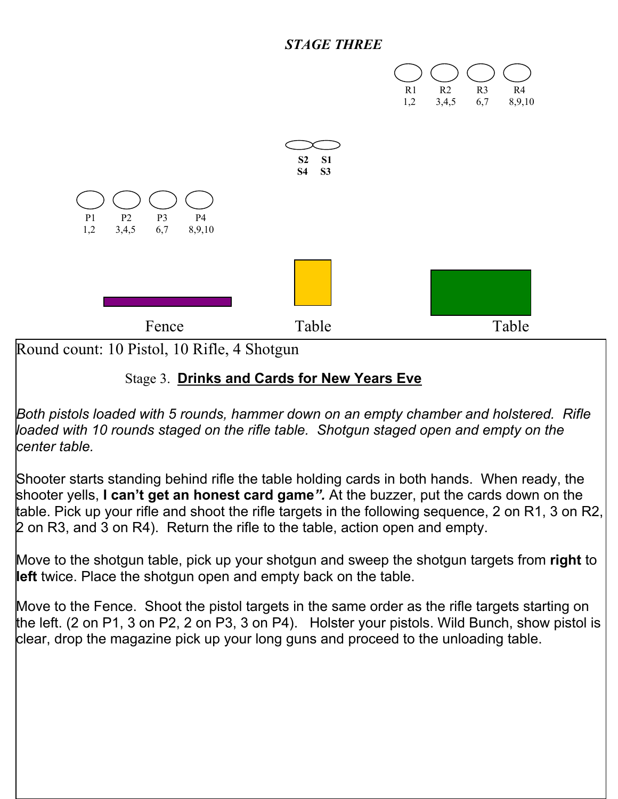#### *STAGE THREE*



Round count: 10 Pistol, 10 Rifle, 4 Shotgun

## Stage 3. **Drinks and Cards for New Years Eve**

*Both pistols loaded with 5 rounds, hammer down on an empty chamber and holstered. Rifle loaded with 10 rounds staged on the rifle table. Shotgun staged open and empty on the center table.* 

Shooter starts standing behind rifle the table holding cards in both hands. When ready, the shooter yells, **I can't get an honest card game***".* At the buzzer, put the cards down on the table. Pick up your rifle and shoot the rifle targets in the following sequence, 2 on R1, 3 on R2, 2 on R3, and 3 on R4). Return the rifle to the table, action open and empty.

Move to the shotgun table, pick up your shotgun and sweep the shotgun targets from **right** to **left** twice. Place the shotgun open and empty back on the table.

Move to the Fence. Shoot the pistol targets in the same order as the rifle targets starting on the left. (2 on P1, 3 on P2, 2 on P3, 3 on P4). Holster your pistols. Wild Bunch, show pistol is clear, drop the magazine pick up your long guns and proceed to the unloading table.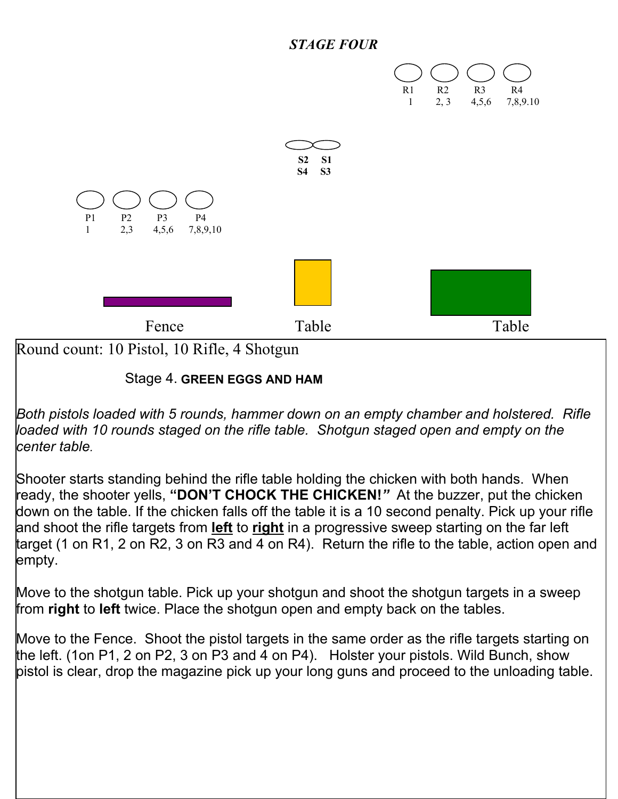



#### Stage 4. **GREEN EGGS AND HAM**

*Both pistols loaded with 5 rounds, hammer down on an empty chamber and holstered. Rifle loaded with 10 rounds staged on the rifle table. Shotgun staged open and empty on the center table.* 

Shooter starts standing behind the rifle table holding the chicken with both hands. When ready, the shooter yells, **"DON'T CHOCK THE CHICKEN!***"* At the buzzer, put the chicken down on the table. If the chicken falls off the table it is a 10 second penalty. Pick up your rifle and shoot the rifle targets from **left** to **right** in a progressive sweep starting on the far left target (1 on R1, 2 on R2, 3 on R3 and 4 on R4). Return the rifle to the table, action open and empty.

Move to the shotgun table. Pick up your shotgun and shoot the shotgun targets in a sweep from **right** to **left** twice. Place the shotgun open and empty back on the tables.

Move to the Fence. Shoot the pistol targets in the same order as the rifle targets starting on the left. (1on P1, 2 on P2, 3 on P3 and 4 on P4). Holster your pistols. Wild Bunch, show pistol is clear, drop the magazine pick up your long guns and proceed to the unloading table.